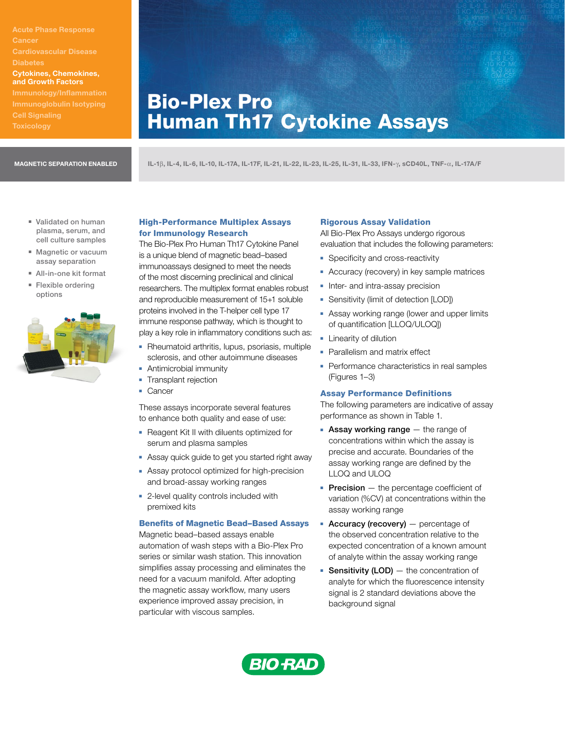Acute Phase Response Cancer Cardiovascular Disease Cytokines, Chemokines, and Growth Factors Immunology/Inflammation Cell Signaling

# Bio-Plex Pro Human Th17 Cytokine Assays

MAGNETIC SEPARATION ENABLED IL-1b, IL-4, IL-6, IL-10, IL-17A, IL-17F, IL-21, IL-22, IL-23, IL-25, IL-31, IL-33, IFN-g, sCD40L, TNF-a, IL-17A/F

- **validated on human** plasma, serum, and cell culture samples
- **Nagnetic or vacuum** assay separation
- All-in-one kit format
- **Flexible ordering** options



# High-Performance Multiplex Assays for Immunology Research

The Bio-Plex Pro Human Th17 Cytokine Panel is a unique blend of magnetic bead–based immunoassays designed to meet the needs of the most discerning preclinical and clinical researchers. The multiplex format enables robust and reproducible measurement of 15+1 soluble proteins involved in the T-helper cell type 17 immune response pathway, which is thought to play a key role in inflammatory conditions such as:

- Rheumatoid arthritis, lupus, psoriasis, multiple sclerosis, and other autoimmune diseases
- **-** Antimicrobial immunity
- **-** Transplant rejection
- **Cancer**

These assays incorporate several features to enhance both quality and ease of use:

- **-** Reagent Kit II with diluents optimized for serum and plasma samples
- **Assay quick guide to get you started right away**
- **Assay protocol optimized for high-precision** and broad-assay working ranges
- **-** 2-level quality controls included with premixed kits

## Benefits of Magnetic Bead–Based Assays

Magnetic bead–based assays enable automation of wash steps with a Bio-Plex Pro series or similar wash station. This innovation simplifies assay processing and eliminates the need for a vacuum manifold. After adopting the magnetic assay workflow, many users experience improved assay precision, in particular with viscous samples.

## Rigorous Assay Validation

All Bio-Plex Pro Assays undergo rigorous evaluation that includes the following parameters:

- **-** Specificity and cross-reactivity
- **-** Accuracy (recovery) in key sample matrices
- Inter- and intra-assay precision
- **-** Sensitivity (limit of detection [LOD])
- **Assay working range (lower and upper limits** of quantification [LLOQ/ULOQ])
- **E** Linearity of dilution
- Parallelism and matrix effect
- Performance characteristics in real samples (Figures 1–3)

# Assay Performance Definitions

The following parameters are indicative of assay performance as shown in Table 1.

- **Assay working range**  $-$  the range of concentrations within which the assay is precise and accurate. Boundaries of the assay working range are defined by the LLOQ and ULOQ
- **Precision**  $-$  the percentage coefficient of variation (%CV) at concentrations within the assay working range
- **Accuracy (recovery)**  $-$  percentage of the observed concentration relative to the expected concentration of a known amount of analyte within the assay working range
- **Sensitivity (LOD)**  $-$  the concentration of analyte for which the fluorescence intensity signal is 2 standard deviations above the background signal

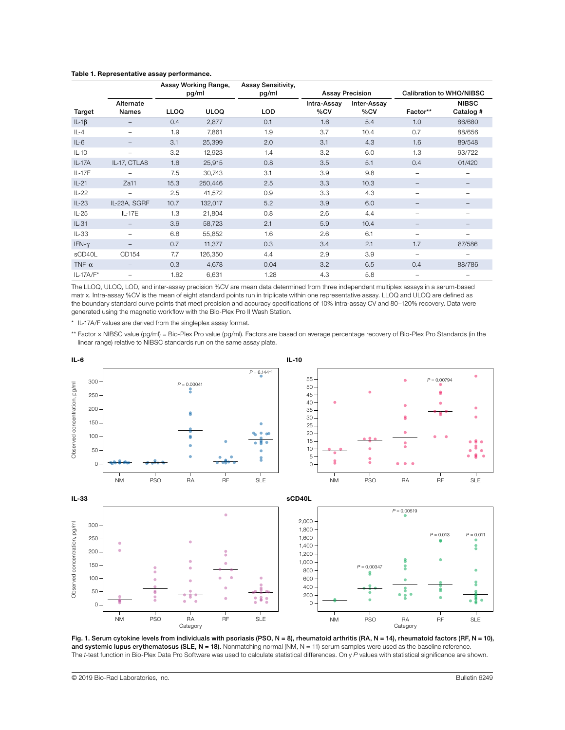|               |                          | Assay Working Range,<br>pg/ml |             | Assay Sensitivity,<br>pg/ml | <b>Assay Precision</b> |                    | Calibration to WHO/NIBSC |                           |
|---------------|--------------------------|-------------------------------|-------------|-----------------------------|------------------------|--------------------|--------------------------|---------------------------|
| Target        | Alternate<br>Names       | <b>LLOQ</b>                   | <b>ULOQ</b> | <b>LOD</b>                  | Intra-Assay<br>%CV     | Inter-Assay<br>%CV | Factor**                 | <b>NIBSC</b><br>Catalog # |
| $IL-1\beta$   | -                        | 0.4                           | 2,877       | 0.1                         | 1.6                    | 5.4                | 1.0                      | 86/680                    |
| $IL-4$        | -                        | 1.9                           | 7,861       | 1.9                         | 3.7                    | 10.4               | 0.7                      | 88/656                    |
| $IL-6$        |                          | 3.1                           | 25,399      | 2.0                         | 3.1                    | 4.3                | 1.6                      | 89/548                    |
| $IL-10$       | $\overline{\phantom{0}}$ | 3.2                           | 12,923      | 1.4                         | 3.2                    | 6.0                | 1.3                      | 93/722                    |
| $IL-17A$      | IL-17, CTLA8             | 1.6                           | 25,915      | 0.8                         | 3.5                    | 5.1                | 0.4                      | 01/420                    |
| IL-17F        |                          | 7.5                           | 30,743      | 3.1                         | 3.9                    | 9.8                | $\overline{\phantom{0}}$ | $\overline{\phantom{0}}$  |
| $IL-21$       | Za11                     | 15.3                          | 250,446     | 2.5                         | 3.3                    | 10.3               | $\qquad \qquad -$        | $\qquad \qquad -$         |
| $IL-22$       | -                        | 2.5                           | 41,572      | 0.9                         | 3.3                    | 4.3                | $\overline{\phantom{0}}$ | $\qquad \qquad$           |
| $IL-23$       | IL-23A, SGRF             | 10.7                          | 132,017     | 5.2                         | 3.9                    | 6.0                | $\qquad \qquad -$        |                           |
| $IL-25$       | IL-17E                   | 1.3                           | 21,804      | 0.8                         | 2.6                    | 4.4                | $\overline{\phantom{0}}$ |                           |
| $IL-31$       | $\qquad \qquad -$        | 3.6                           | 58,723      | 2.1                         | 5.9                    | 10.4               | $\overline{\phantom{m}}$ |                           |
| $IL-33$       | $\overline{\phantom{0}}$ | 6.8                           | 55,852      | 1.6                         | 2.6                    | 6.1                | $\overline{\phantom{0}}$ |                           |
| IFN- $\gamma$ | -                        | 0.7                           | 11,377      | 0.3                         | 3.4                    | 2.1                | 1.7                      | 87/586                    |
| sCD40L        | CD154                    | 7.7                           | 126,350     | 4.4                         | 2.9                    | 3.9                | $\equiv$                 | $\overline{\phantom{0}}$  |
| TNF- $\alpha$ | $\qquad \qquad =$        | 0.3                           | 4,678       | 0.04                        | 3.2                    | 6.5                | 0.4                      | 88/786                    |
| $IL-17A/F*$   | $\overline{\phantom{0}}$ | 1.62                          | 6,631       | 1.28                        | 4.3                    | 5.8                | $\overline{\phantom{m}}$ | $\overline{\phantom{m}}$  |

## Table 1. Representative assay performance.

The LLOQ, ULOQ, LOD, and inter-assay precision %CV are mean data determined from three independent multiplex assays in a serum-based matrix. Intra-assay %CV is the mean of eight standard points run in triplicate within one representative assay. LLOQ and ULOQ are defined as the boundary standard curve points that meet precision and accuracy specifications of 10% intra-assay CV and 80–120% recovery. Data were generated using the magnetic workflow with the Bio-Plex Pro II Wash Station.

\* IL-17A/F values are derived from the singleplex assay format.

\*\* Factor x NIBSC value (pg/ml) = Bio-Plex Pro value (pg/ml). Factors are based on average percentage recovery of Bio-Plex Pro Standards (in the linear range) relative to NIBSC standards run on the same assay plate.



Fig. 1. Serum cytokine levels from individuals with psoriasis (PSO, N = 8), rheumatoid arthritis (RA, N = 14), rheumatoid factors (RF, N = 10), and systemic lupus erythematosus (SLE, N = 18). Nonmatching normal (NM, N = 11) serum samples were used as the baseline reference.<br>The t-test function in Bio-Plex Data Pro Software was used to calculate statistical differe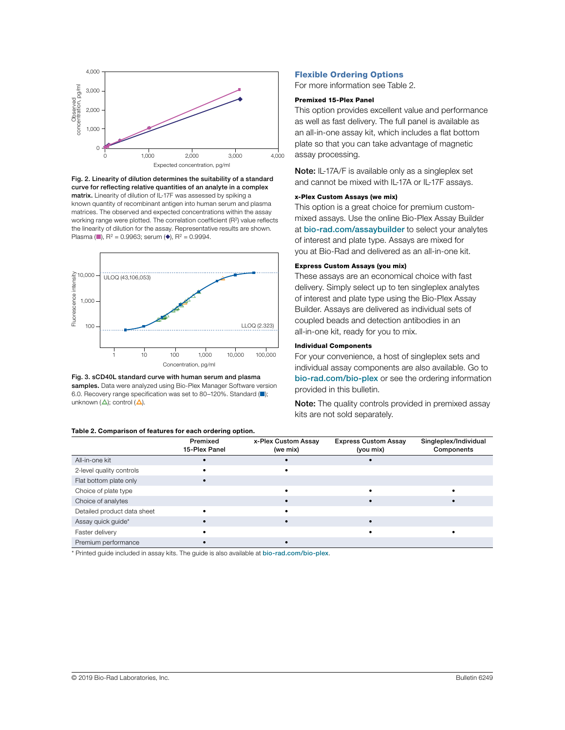





Fig. 3. sCD40L standard curve with human serum and plasma samples. Data were analyzed using Bio-Plex Manager Software version 6.0. Recovery range specification was set to 80–120%. Standard (■); unknown  $(\triangle)$ ; control  $(\triangle)$ .

#### Table 2. Comparison of features for each ordering option.

#### Flexible Ordering Options

For more information see Table 2.

## Premixed 15-Plex Panel

This option provides excellent value and performance as well as fast delivery. The full panel is available as an all-in-one assay kit, which includes a flat bottom plate so that you can take advantage of magnetic assay processing.

Note: IL-17A/F is available only as a singleplex set and cannot be mixed with IL-17A or IL-17F assays.

## x-Plex Custom Assays (we mix)

This option is a great choice for premium custommixed assays. Use the online Bio-Plex Assay Builder at [bio-rad.com/assaybuilder](http://bio-rad.com/assaybuilder) to select your analytes of interest and plate type. Assays are mixed for you at Bio-Rad and delivered as an all-in-one kit.

## Express Custom Assays (you mix)

These assays are an economical choice with fast delivery. Simply select up to ten singleplex analytes of interest and plate type using the Bio-Plex Assay Builder. Assays are delivered as individual sets of coupled beads and detection antibodies in an all-in-one kit, ready for you to mix.

## Individual Components

For your convenience, a host of singleplex sets and individual assay components are also available. Go to [bio-rad.com/bio-plex](http://bio-rad.com/bio-plex) or see the ordering information provided in this bulletin.

Note: The quality controls provided in premixed assay kits are not sold separately.

|                             | Premixed<br>15-Plex Panel | x-Plex Custom Assay<br>(we mix) | <b>Express Custom Assay</b><br>(you mix) | Singleplex/Individual<br>Components |
|-----------------------------|---------------------------|---------------------------------|------------------------------------------|-------------------------------------|
| All-in-one kit              |                           |                                 |                                          |                                     |
| 2-level quality controls    |                           |                                 |                                          |                                     |
| Flat bottom plate only      |                           |                                 |                                          |                                     |
| Choice of plate type        |                           |                                 |                                          |                                     |
| Choice of analytes          |                           |                                 |                                          |                                     |
| Detailed product data sheet |                           |                                 |                                          |                                     |
| Assay quick guide*          |                           |                                 |                                          |                                     |
| Faster delivery             |                           |                                 |                                          |                                     |
| Premium performance         |                           |                                 |                                          |                                     |

\* Printed guide included in assay kits. The guide is also available at [bio-rad.com/bio-plex](http://bio-rad.com/bio-plex).